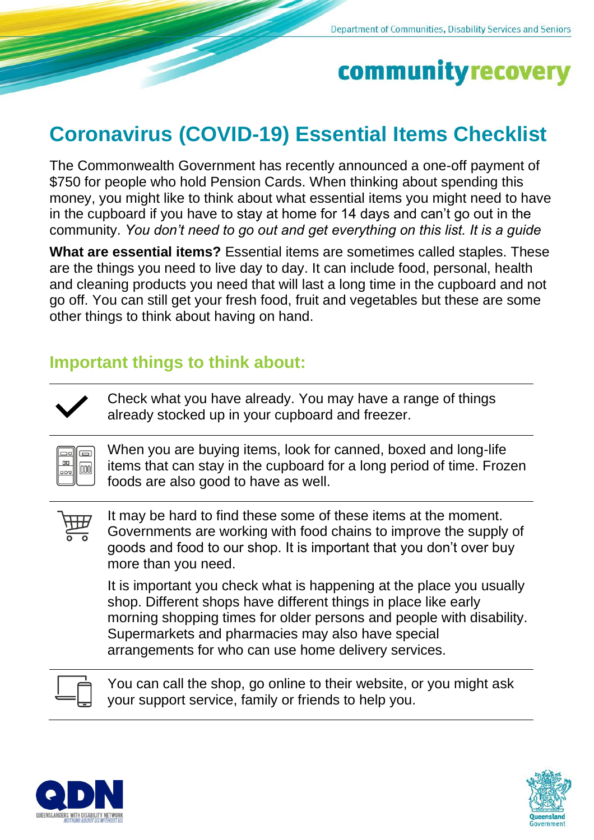# community recovery

## **Coronavirus (COVID-19) Essential Items Checklist**

The Commonwealth Government has recently announced a one-off payment of \$750 for people who hold Pension Cards. When thinking about spending this money, you might like to think about what essential items you might need to have in the cupboard if you have to stay at home for 14 days and can't go out in the community. *You don't need to go out and get everything on this list. It is a guide*

**What are essential items?** Essential items are sometimes called staples. These are the things you need to live day to day. It can include food, personal, health and cleaning products you need that will last a long time in the cupboard and not go off. You can still get your fresh food, fruit and vegetables but these are some other things to think about having on hand.

### **Important things to think about:**

Check what you have already. You may have a range of things already stocked up in your cupboard and freezer.

When you are buying items, look for canned, boxed and long-life items that can stay in the cupboard for a long period of time. Frozen foods are also good to have as well.

 $100$ 

 $\Box$  $\overline{\square}$  $\Box$ 

 $|000|$ 

It may be hard to find these some of these items at the moment. Governments are working with food chains to improve the supply of goods and food to our shop. It is important that you don't over buy more than you need.

It is important you check what is happening at the place you usually shop. Different shops have different things in place like early morning shopping times for older persons and people with disability. Supermarkets and pharmacies may also have special arrangements for who can use home delivery services.

You can call the shop, go online to their website, or you might ask your support service, family or friends to help you.



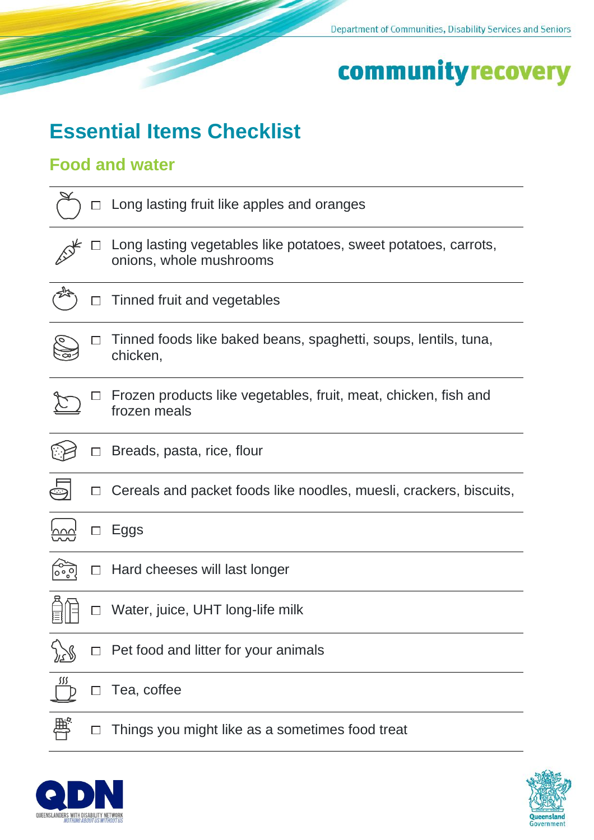# communityrecovery

### **Essential Items Checklist**

### **Food and water**

|            |        | Long lasting fruit like apples and oranges                                                 |
|------------|--------|--------------------------------------------------------------------------------------------|
|            |        | Long lasting vegetables like potatoes, sweet potatoes, carrots,<br>onions, whole mushrooms |
|            |        | Tinned fruit and vegetables                                                                |
|            |        | Tinned foods like baked beans, spaghetti, soups, lentils, tuna,<br>chicken,                |
|            |        | Frozen products like vegetables, fruit, meat, chicken, fish and<br>frozen meals            |
|            |        | Breads, pasta, rice, flour                                                                 |
|            |        | Cereals and packet foods like noodles, muesli, crackers, biscuits,                         |
|            |        | Eggs                                                                                       |
| ೲೢಁ        | $\Box$ | Hard cheeses will last longer                                                              |
|            |        | Water, juice, UHT long-life milk                                                           |
|            |        | Pet food and litter for your animals                                                       |
| <u>sss</u> |        | Tea, coffee                                                                                |
|            |        |                                                                                            |



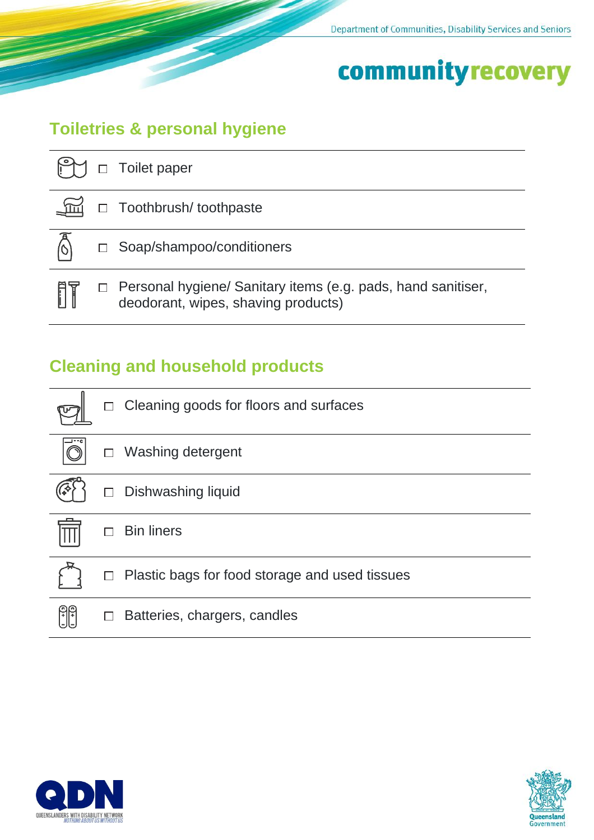## community recovery

### **Toiletries & personal hygiene**

|     | Toilet paper                                                                                        |
|-----|-----------------------------------------------------------------------------------------------------|
|     | □ Toothbrush/ toothpaste                                                                            |
|     | □ Soap/shampoo/conditioners                                                                         |
| fit | Personal hygiene/ Sanitary items (e.g. pads, hand sanitiser,<br>deodorant, wipes, shaving products) |

### **Cleaning and household products**